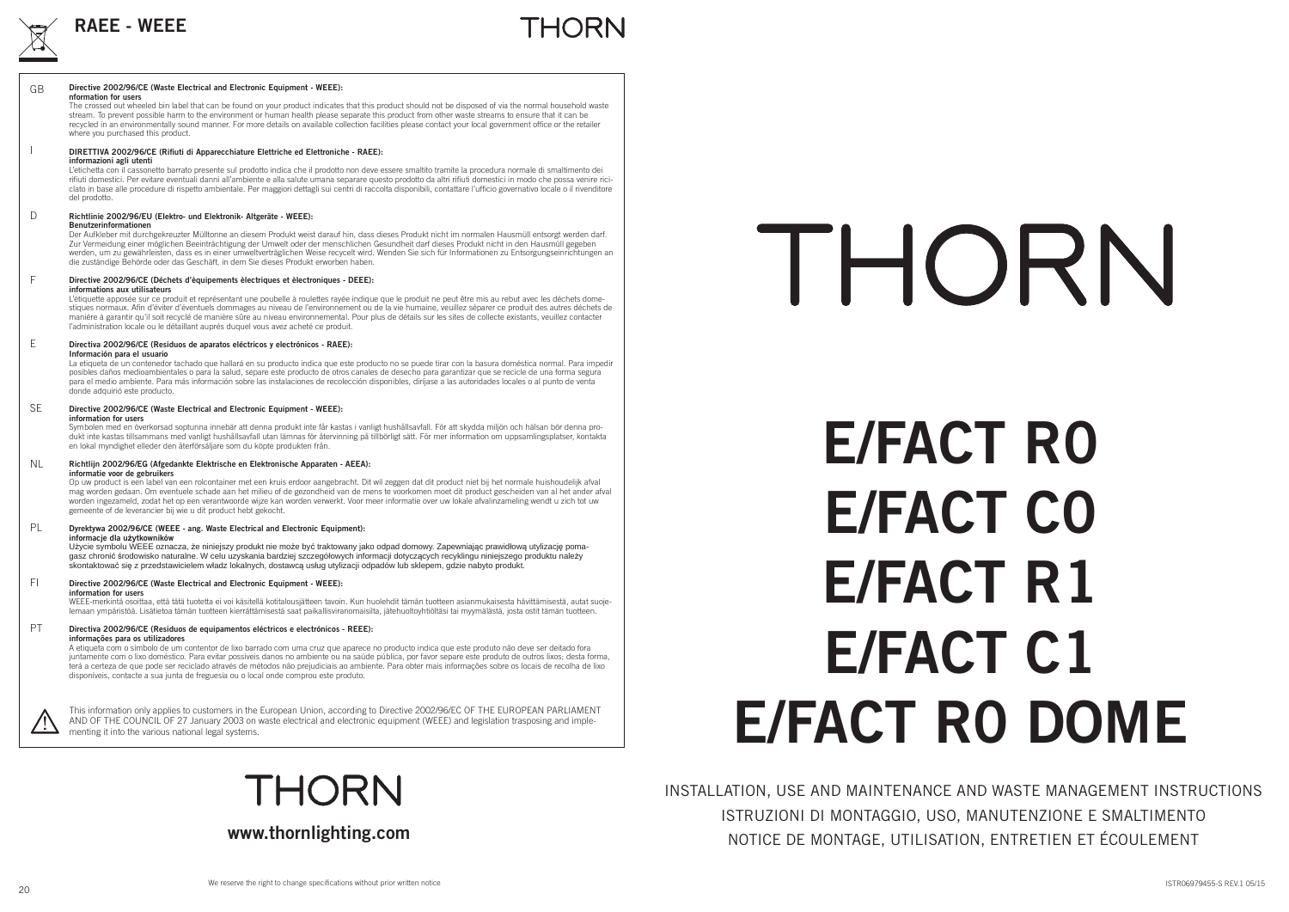

### THORN

#### **Directive 2002/96/CE (Waste Electrical and Electronic Equipment - WEEE): nformation for users**GB

 The crossed out wheeled bin label that can be found on your product indicates that this product should not be disposed of via the normal household waste stream. To prevent possible harm to the environment or human health please separate this product from other waste streams to ensure that it can be recycled in an environmentally sound manner. For more details on available collection facilities please contact your local government office or the retailer where you purchased this product.

#### **DIRETTIVA 2002/96/CE (Rifiuti di Apparecchiature Elettriche ed Elettroniche - RAEE): informazioni agli utenti**

L'etichetta con il cassonetto barrato presente sul prodotto indica che il prodotto non deve essere smaltito tramite la procedura normale di smaltimento dei rifiuti domestici. Per evitare eventuali danni all'ambiente e alla salute umana separare questo prodotto da altri rifiuti domestici in modo che possa venire riciclato in base alle procedure di rispetto ambientale. Per maggiori dettagli sui centri di raccolta disponibili, contattare l'ufficio governativo locale o il rivenditore del prodotto.

#### **Richtlinie 2002/96/EU (Elektro- und Elektronik- Altgeräte - WEEE): Benutzerinformationen**D

 Der Aufkleber mit durchgekreuzter Mülltonne an diesem Produkt weist darauf hin, dass dieses Produkt nicht im normalen Hausmüll entsorgt werden darf. Zur Vermeidung einer möglichen Beeinträchtigung der Umwelt oder der menschlichen Gesundheit darf dieses Produkt nicht in den Hausmüll gegeben werden, um zu gewährleisten, dass es in einer umweltverträglichen Weise recycelt wird. Wenden Sie sich für Informationen zu Entsorgungseinrichtungen an die zuständige Behörde oder das Geschäft, in dem Sie dieses Produkt erworben haben.

#### **Directive 2002/96/CE (Déchets d'èquipements èlectriques et èlectroniques - DEEE): informations aux utilisateurs**F

 L'étiquette apposée sur ce produit et représentant une poubelle à roulettes rayée indique que le produit ne peut être mis au rebut avec les déchets domestiques normaux. Afi n d'éviter d'éventuels dommages au niveau de l'environnement ou de la vie humaine, veuillez séparer ce produit des autres déchets de maniére à garantir qu'il soit recyclé de manière sûre au niveau environnemental. Pour plus de détails sur les sites de collecte existants, veuillez contacter l'administration locale ou le détaillant auprés duquel vous avez acheté ce produit.

#### **Directiva 2002/96/CE (Residuos de aparatos eléctricos y electrónicos - RAEE): Información para el usuario** E

La etiqueta de un contenedor tachado que hallará en su producto indica que este producto no se puede tirar con la basura doméstica normal. Para impedir posibles daños medioambientales o para la salud, separe este producto de otros canales de desecho para garantizar que se recicle de una forma segura para el medio ambiente. Para más información sobre las instalaciones de recolección disponibles, diríjase a las autoridades locales o al punto de venta donde adquirió este producto.

#### **Directive 2002/96/CE (Waste Electrical and Electronic Equipment - WEEE): information for users**SE

 Symbolen med en överkorsad soptunna innebär att denna produkt inte får kastas i vanligt hushållsavfall. För att skydda miljön och hälsan bör denna produkt inte kastas tillsammans med vanligt hushållsavfall utan lämnas för återvinning på tillbörligt sätt. För mer information om uppsamlingsplatser, kontakta en lokal myndighet elleder den återförsäljare som du köpte produkten från.

**Richtlijn 2002/96/EG (Afgedankte Elektrische en Elektronische Apparaten - AEEA): informatie voor de gebruikers** NL

Op uw product is een label van een rolcontainer met een kruis erdoor aangebracht. Dit wil zeggen dat dit product niet bij het normale huishoudelijk afval mag worden gedaan. Om eventuele schade aan het milieu of de gezondheid van de mens te voorkomen moet dit product gescheiden van al het ander afval worden ingezameld, zodat het op een verantwoorde wijze kan worden verwerkt. Voor meer informatie over uw lokale afvalinzameling wendt u zich tot uw gemeente of de leverancier bij wie u dit product hebt gekocht.

#### **Dyrektywa 2002/96/CE (WEEE - ang. Waste Electrical and Electronic Equipment): informacje dla uĪytkowników** PL

Użycie symbolu WEEE oznacza, że niniejszy produkt nie może być traktowany jako odpad domowy. Zapewniając prawidłową utylizację pomagasz chroniü Ğrodowisko naturalne. W celu uzyskania bardziej szczegóáowych informacji dotyczących recyklingu niniejszego produktu naleĪy skontaktować się z przedstawicielem władz lokalnych, dostawcą usług utylizacji odpadów lub sklepem, gdzie nabyto produkt.

#### **Directive 2002/96/CE (Waste Electrical and Electronic Equipment - WEEE): information for users**FI

 WEEE-merkintä osoittaa, että tätä tuotetta ei voi käsitellä kotitalousjätteen tavoin. Kun huolehdit tämän tuotteen asianmukaisesta hävittämisestä, autat suojelemaan ympäristöä. Lisätietoa tämän tuotteen kierrättämisestä saat paikallisviranomaisilta, jätehuoltoyhtiöltäsi tai myymälästä, josta ostit tämän tuotteen.

#### **Directiva 2002/96/CE (Residuos de equipamentos eléctricos e electrónicos - REEE): informações para os utilizadores** PT

A etiqueta com o símbolo de um contentor de lixo barrado com uma cruz que aparece no producto indica que este produto não deve ser deitado fora juntamente com o lixo doméstico. Para evitar possíveis danos no ambiente ou na saúde pública, por favor separe este produto de outros lixos; desta forma, terá a certeza de que pode ser reciclado através de métodos não prejudiciais ao ambiente. Para obter mais informações sobre os locais de recolha de lixo disponíveis, contacte a sua junta de freguesia ou o local onde comprou este produto.

This information only applies to customers in the European Union, according to Directive 2002/96/EC OF THE EUROPEAN PARLIAMENT AND OF THE COUNCIL OF 27 January 2003 on waste electrical and electronic equipment (WEEE) and legislation trasposing and implementing it into the various national legal systems.

**THORN** 

#### **www.thornlighting.com**

# THORN

# **E/FACT R0 E/FACT C0E/FACT R1E/FACT C1E/FACT R0 DOME**

INSTALLATION, USE AND MAINTENANCE AND WASTE MANAGEMENT INSTRUCTIONS ISTRUZIONI DI MONTAGGIO, USO, MANUTENZIONE E SMALTIMENTO NOTICE DE MONTAGE, UTILISATION, ENTRETIEN ET ÉCOULEMENT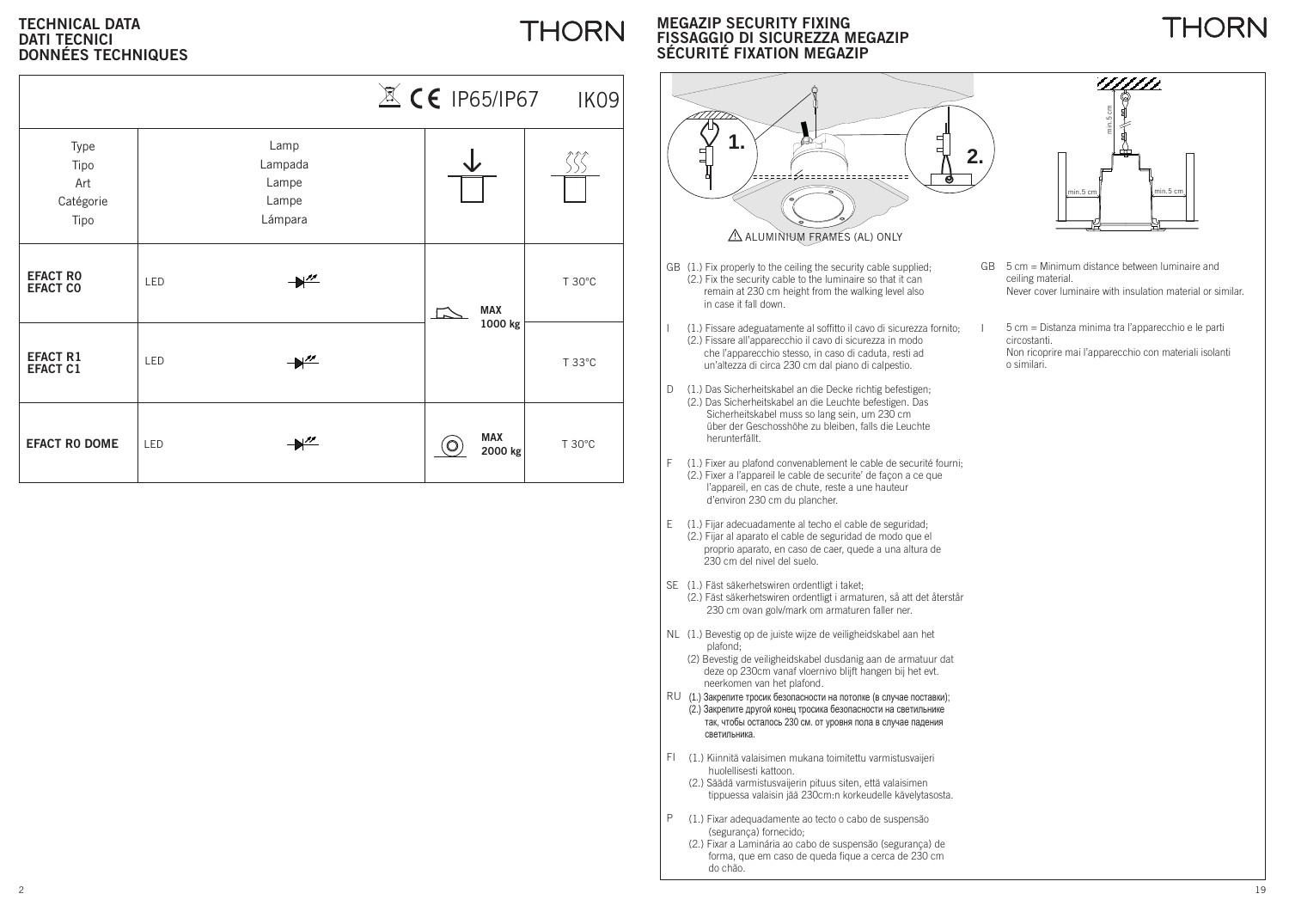#### **TECHNICAL DATADATI TECNICIDONNÉES TECHNIQUES**

|                                          |     |                                              |                       | $X \times$ CE IP65/IP67 IK09 |
|------------------------------------------|-----|----------------------------------------------|-----------------------|------------------------------|
| Type<br>Tipo<br>Art<br>Catégorie<br>Tipo |     | Lamp<br>Lampada<br>Lampe<br>Lampe<br>Lámpara |                       |                              |
| <b>EFACT RO</b><br><b>EFACT CO</b>       | LED | $+$                                          | <b>MAX</b>            | T 30°C                       |
| <b>EFACT R1</b><br><b>EFACT C1</b>       | LED | $+^{\prime\prime}$                           | 1000 kg               | T 33°C                       |
| <b>EFACT RO DOME</b>                     | LED | $\mathbb{M}^{\prime\prime}$                  | <b>MAX</b><br>2000 kg | T 30°C                       |

#### **MEGAZIP SECURITY FIXING FISSAGGIO DI SICUREZZA MEGAZIPSÉCURITÉ FIXATION MEGAZIP**

**THORN** 



- GB (1.) Fix properly to the ceiling the security cable supplied; (2.) Fix the security cable to the luminaire so that it can remain at 230 cm height from the walking level also in case it fall down.
- (1.) Fissare adeguatamente al soffitto il cavo di sicurezza fornito; l (2.) Fissare all'apparecchio il cavo di sicurezza in modo che l'apparecchio stesso, in caso di caduta, resti ad un'altezza di circa 230 cm dal piano di calpestio.
- (1.) Das Sicherheitskabel an die Decke richtig befestigen; D (2.) Das Sicherheitskabel an die Leuchte befestigen. Das Sicherheitskabel muss so lang sein, um 230 cm über der Geschosshöhe zu bleiben, falls die Leuchte herunterfällt.
- (1.) Fixer au plafond convenablement le cable de securité fourni; F (2.) Fixer a l'appareil le cable de securite' de façon a ce que l'appareil, en cas de chute, reste a une hauteur d'environ 230 cm du plancher.
- (1.) Fijar adecuadamente al techo el cable de seguridad; E (2.) Fijar al aparato el cable de seguridad de modo que el proprio aparato, en caso de caer, quede a una altura de 230 cm del nivel del suelo.
- (1.) Fäst säkerhetswiren ordentligt i taket; SE (2.) Fäst säkerhetswiren ordentligt i armaturen, så att det återstår 230 cm ovan golv/mark om armaturen faller ner.
- (1.) Bevestig op de juiste wijze de veiligheidskabel aan het NL plafond;
	- (2) Bevestig de veiligheidskabel dusdanig aan de armatuur dat deze op 230cm vanaf vloernivo blijft hangen bij het evt. neerkomen van het plafond.
- $RU$  (1.) Закрепите тросик безопасности на потолке (в случае поставки);  $(2.)$  Закрепите другой конец тросика безопасности на светильнике так, чтобы осталось 230 см. от уровня пола в случае падения светильника.
- (1.) Kiinnitä valaisimen mukana toimitettu varmistusvaijeri FI huolellisesti kattoon.
	- (2.) Säädä varmistusvaijerin pituus siten, että valaisimen tippuessa valaisin jää 230cm:n korkeudelle kävelytasosta.
- P (1.) Fixar adequadamente ao tecto o cabo de suspensão (segurança) fornecido;
	- (2.) Fixar a Laminária ao cabo de suspensão (segurança) de forma, que em caso de queda fique a cerca de 230 cm do chão.



THORN

- GB 5 cm = Minimum distance between luminaire andceiling material. Never cover luminaire with insulation material or similar.
- 5 cm = Distanza minima tra l'apparecchio e le parti circostanti. Non ricoprire mai l'apparecchio con materiali isolanti o similari.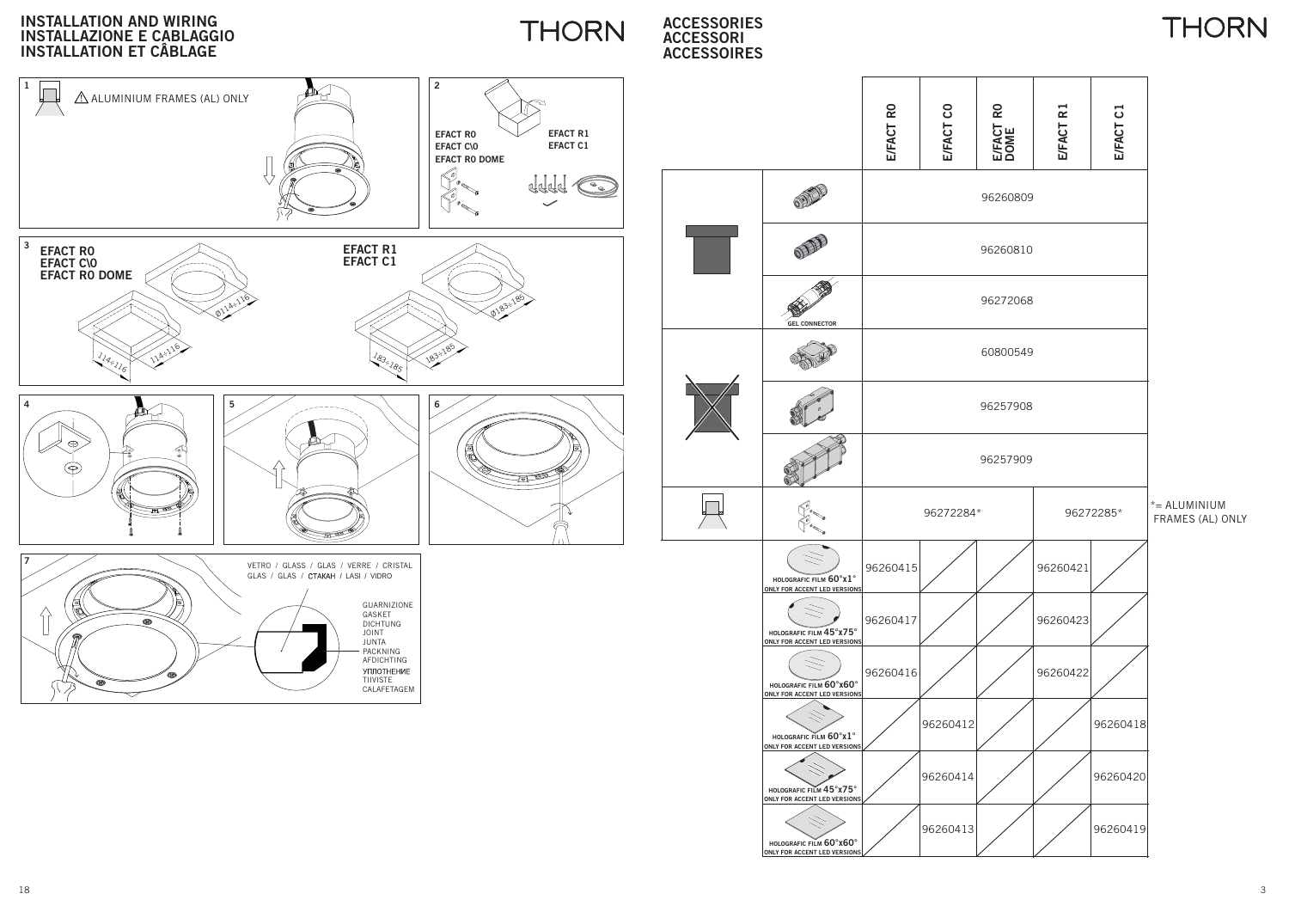

**ONLY FOR ACCENT LED VERSIONS**

18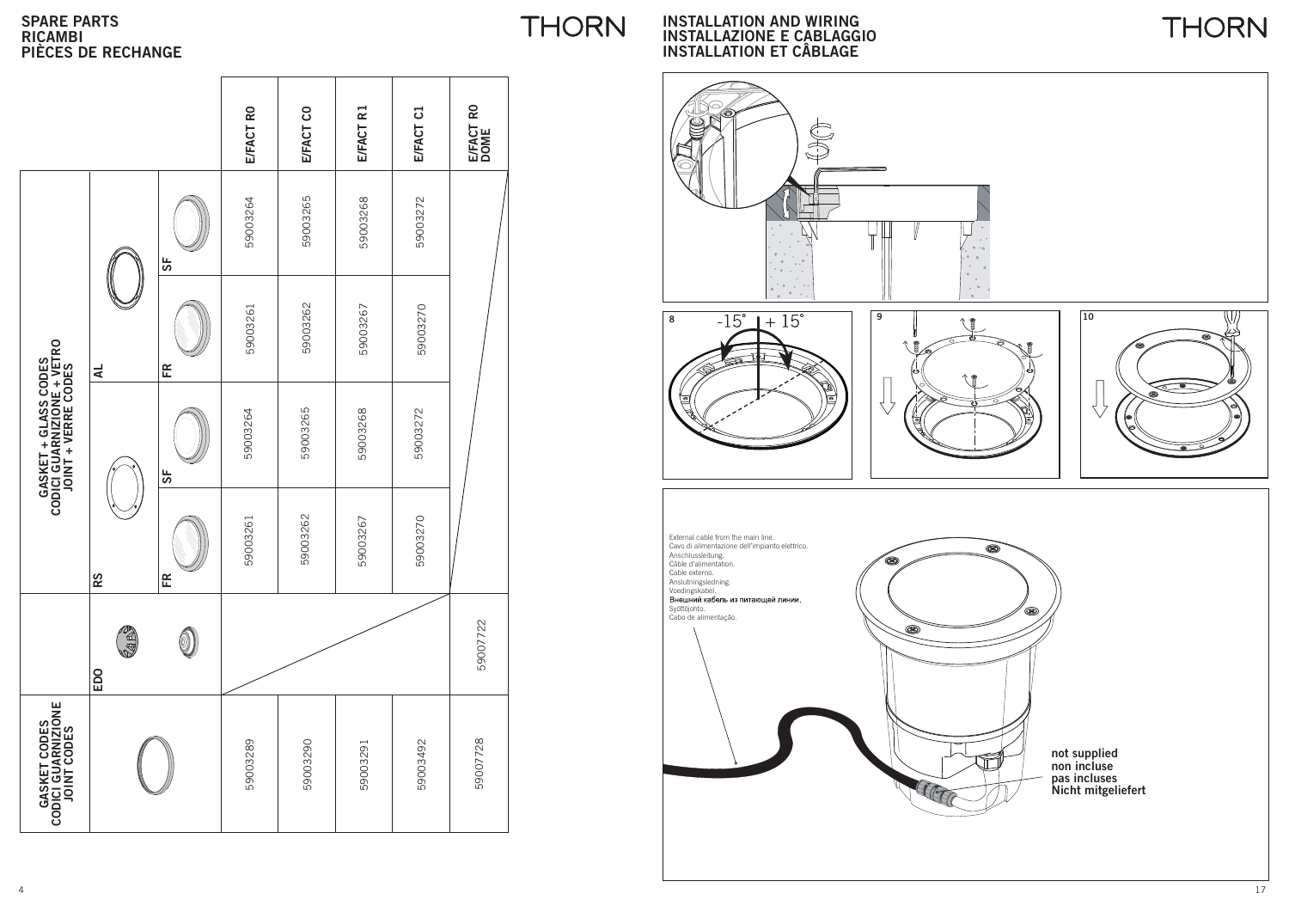#### **SPARE PARTS RICAMBIPIÈCES DE RECHANGE**

|                                                                                   |                  |    | E/FACT RO | E/FACT CO | E/FACT R1 | E/FACT C1 | E/FACT RO<br>DOME |  |
|-----------------------------------------------------------------------------------|------------------|----|-----------|-----------|-----------|-----------|-------------------|--|
| <b>GASKET + GLASS CODES<br/>CODICI GUARNIZIONE + VETRO</b><br>JOINT + VERRE CODES | 4                | 55 | 59003264  | 59003265  | 59003268  | 59003272  |                   |  |
|                                                                                   |                  | 뚠  | 59003261  | 59003262  | 59003267  | 59003270  |                   |  |
|                                                                                   | RS               | 55 | 59003264  | 59003265  | 59003268  | 59003272  |                   |  |
|                                                                                   |                  | Æ  | 59003261  | 59003262  | 59003267  | 59003270  |                   |  |
|                                                                                   | <b>GB</b><br>EDO | 0  |           |           |           |           | 59007722          |  |
| GASKET CODES<br>CODICI GUARNIZIONE<br>JOINT CODES                                 |                  |    | 59003289  | 59003290  | 59003291  | 59003492  | 59007728          |  |

**INSTALLATION AND WIRINGINSTALLAZIONE E CABLAGGIO INSTALLATION ET CÂBLAGE**

**THORN** 



**THORN**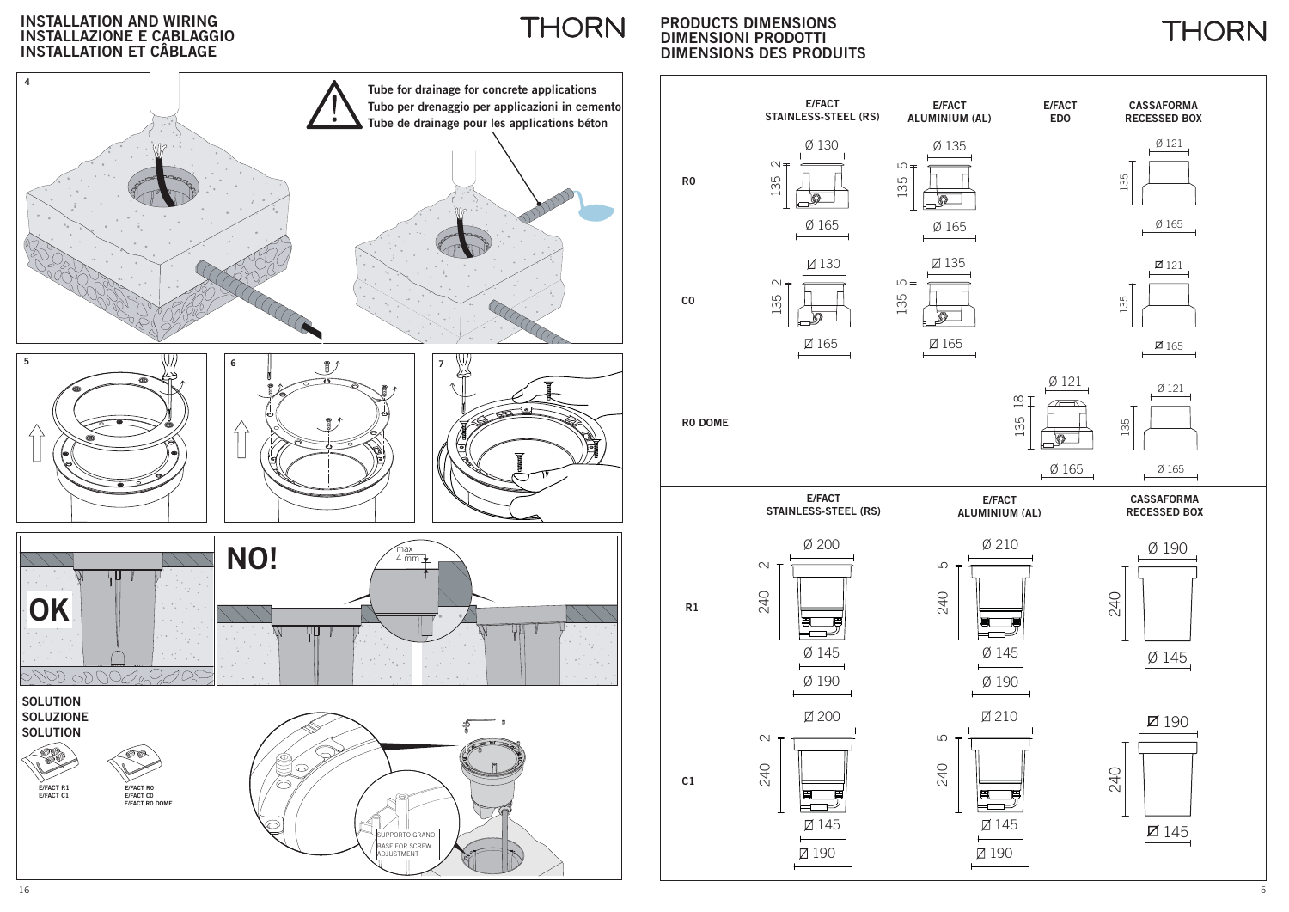#### **INSTALLATION AND WIRING INSTALLAZIONE E CABLAGGIO INSTALLATION ET CÂBLAGE**



**PRODUCTS DIMENSIONS DIMENSIONI PRODOTTI DIMENSIONS DES PRODUITS**

**THORN** 



**THORN**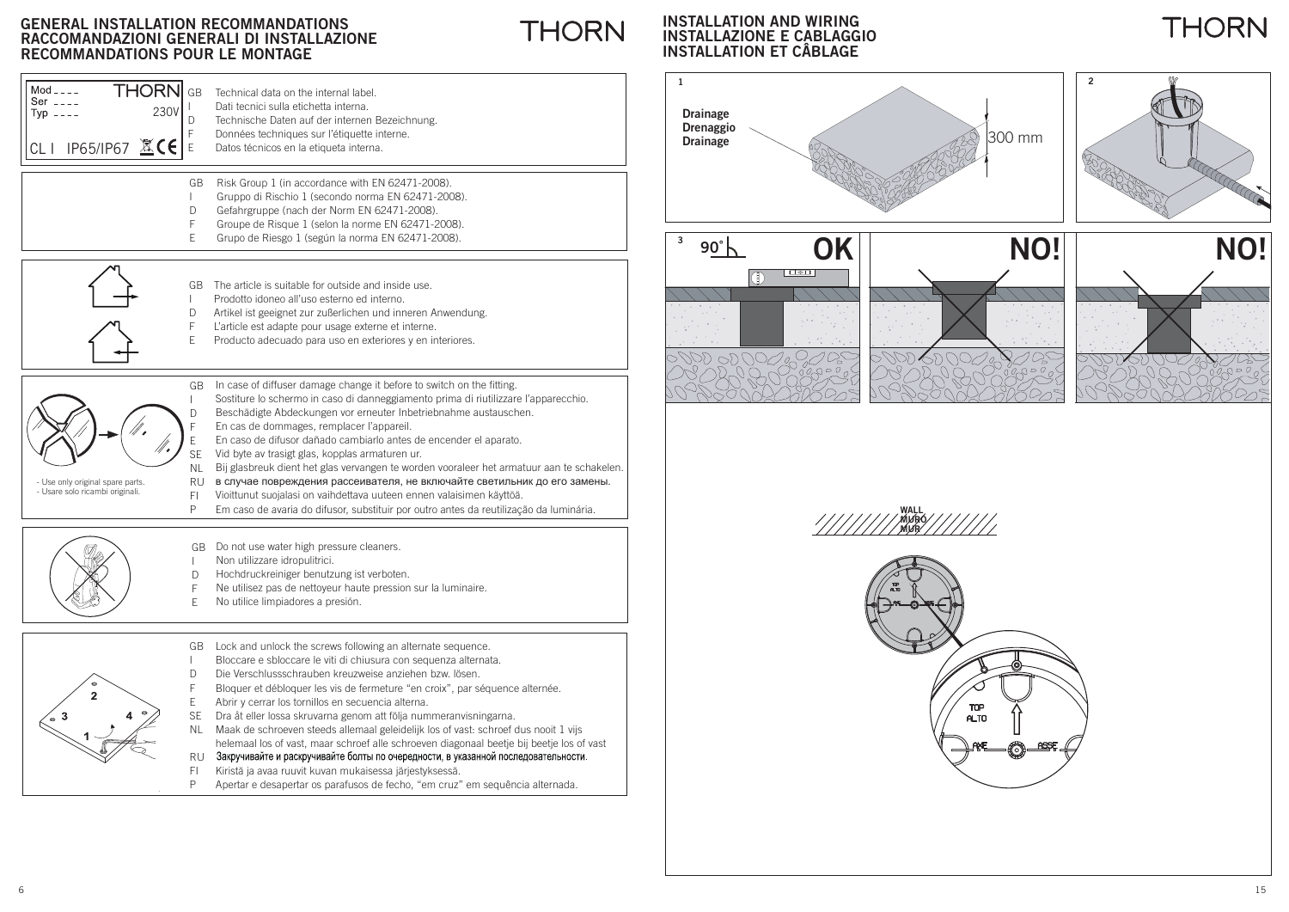I DF

 $\blacksquare$ DFE

I DFE

**THORN** GB

230V

CLI IP65/IP67 这**C∈l**e

 $Mod_{---}$ Ser  $\overline{z}$  $TVD$  ----

## **THORN**

#### **INSTALLATION AND WIRING INSTALLAZIONE E CABLAGGIOINSTALLATION ET CÂBLAGE**





**WALL MURO MUR**

TOP ALTO



- Use only original spare parts. - Usare solo ricambi originali.

NLRU FIPEn caso de difusor dañado cambiarlo antes de encender el aparato. Vid byte av trasigt glas, kopplas armaturen ur. Bij glasbreuk dient het glas vervangen te worden vooraleer het armatuur aan te schakelen. в случае повреждения рассеивателя, не включайте светильник до его замены. Vioittunut suojalasi on vaihdettava uuteen ennen valaisimen käyttöä. Em caso de avaria do difusor, substituir por outro antes da reutilização da luminária.

GB Do not use water high pressure cleaners.

Technical data on the internal label.Dati tecnici sulla etichetta interna.

Technische Daten auf der internen Bezeichnung. Données techniques sur l'étiquette interne. Datos técnicos en la etiqueta interna.

GB Risk Group 1 (in accordance with EN 62471-2008).

 $\mathsf{GB\_The}$  article is suitable for outside and inside use.

Prodotto idoneo all'uso esterno ed interno.

Gruppo di Rischio 1 (secondo norma EN 62471-2008). Gefahrgruppe (nach der Norm EN 62471-2008). Groupe de Risque 1 (selon la norme EN 62471-2008). Grupo de Riesgo 1 (según la norma EN 62471-2008).

Artikel ist geeignet zur zußerlichen und inneren Anwendung. L'article est adapte pour usage externe et interne. Producto adecuado para uso en exteriores y en interiores.

- Non utilizzare idropulitrici.  $\perp$
- DHochdruckreiniger benutzung ist verboten.
- FNe utilisez pas de nettoyeur haute pression sur la luminaire.
- ENo utilice limpiadores a presión.

GB Lock and unlock the screws following an alternate sequence. Bloccare e sbloccare le viti di chiusura con sequenza alternata. Die Verschlussschrauben kreuzweise anziehen bzw. lösen. Bloquer et débloquer les vis de fermeture "en croix", par séquence alternée. DF

- Abrir y cerrar los tornillos en secuencia alterna. E
- Dra åt eller lossa skruvarna genom att följa nummeranvisningarna. SE
- NL Maak de schroeven steeds allemaal geleidelijk los of vast: schroef dus nooit 1 vijs helemaal los of vast, maar schroef alle schroeven diagonaal beetje bij beetje los of vast
- Закручивайте и раскручивайте болты по очередности, в указанной последовательности. RU
- Kiristä ja avaa ruuvit kuvan mukaisessa järjestyksessä. FI
- Apertar e desapertar os parafusos de fecho, "em cruz" em sequência alternada. P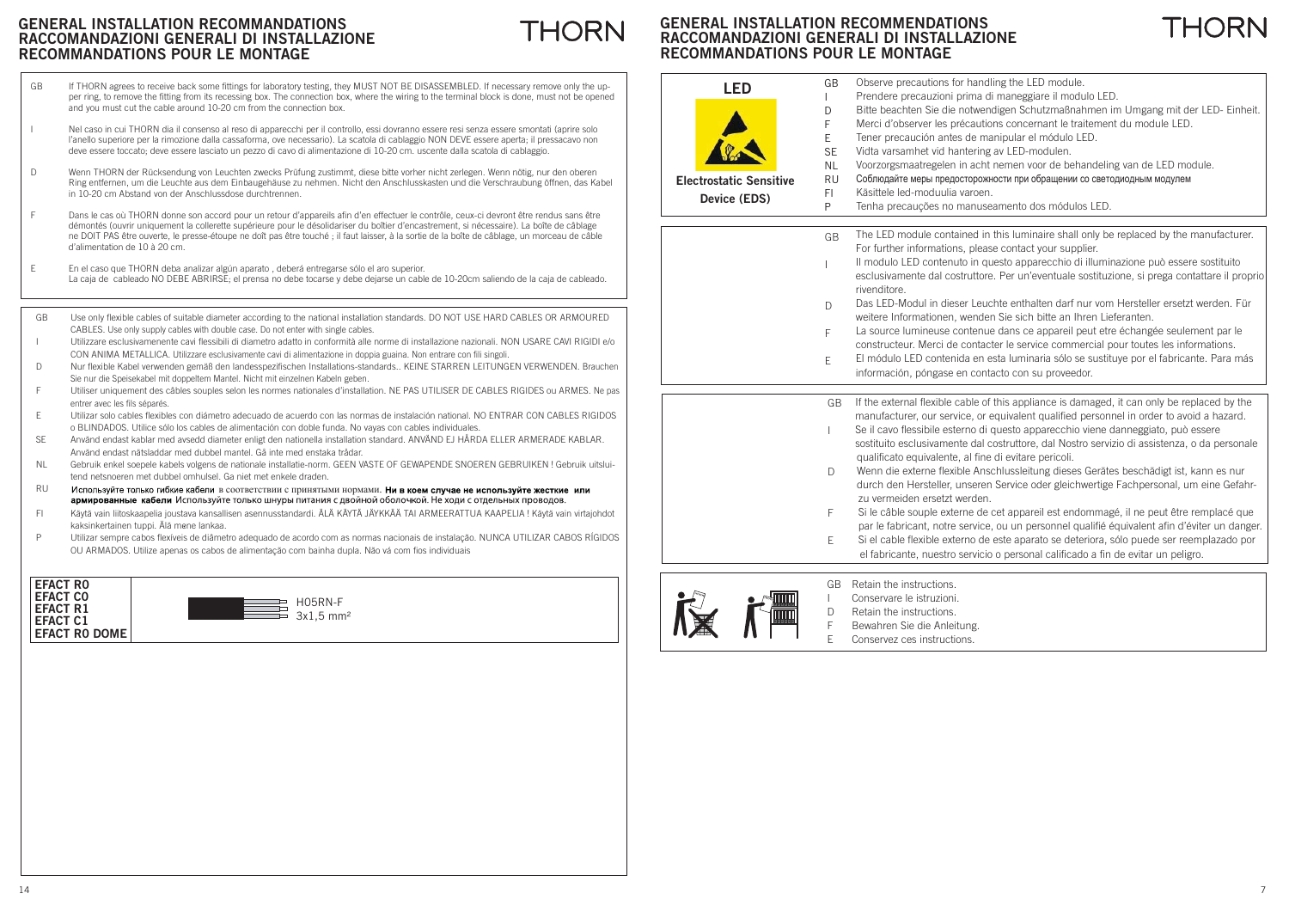#### **GENERAL INSTALLATION RECOMMENDATIONSTHORN RACCOMANDAZIONI GENERALI DI INSTALLAZIONERECOMMANDATIONS POUR LE MONTAGE**

**LED**

GBI

- If THORN agrees to receive back some fittings for laboratory testing, they MUST NOT BE DISASSEMBLED. If necessary remove only the upper ring, to remove the fitting from its recessing box. The connection box, where the wiring to the terminal block is done, must not be opened and you must cut the cable around 10-20 cm from the connection box. GB
- Nel caso in cui THORN dia il consenso al reso di apparecchi per il controllo, essi dovranno essere resi senza essere smontati (aprire solo l'anello superiore per la rimozione dalla cassaforma, ove necessario). La scatola di cablaggio NON DEVE essere aperta; il pressacavo non deve essere toccato; deve essere lasciato un pezzo di cavo di alimentazione di 10-20 cm. uscente dalla scatola di cablaggio.
- Wenn THORN der Rücksendung von Leuchten zwecks Prüfung zustimmt, diese bitte vorher nicht zerlegen. Wenn nötig, nur den oberen Ring entfernen, um die Leuchte aus dem Einbaugehäuse zu nehmen. Nicht den Anschlusskasten und die Verschraubung öffnen, das Kabel in 10-20 cm Abstand von der Anschlussdose durchtrennen. D
- Dans le cas où THORN donne son accord pour un retour d'appareils afin d'en effectuer le contrôle, ceux-ci devront être rendus sans être démontés (ouvrir uniquement la collerette supérieure pour le désolidariser du boîtier d'encastrement, si nécessaire). La boîte de câblage ne DOIT PAS être ouverte, le presse-étoupe ne doît pas être touché ; il faut laisser, à la sortie de la boîte de câblage, un morceau de câble d'alimentation de 10 à 20 cm.F
- En el caso que THORN deba analizar algún aparato , deberá entregarse sólo el aro superior. La caja de cableado NO DEBE ABRIRSE; el prensa no debe tocarse y debe dejarse un cable de 10-20cm saliendo de la caja de cableado. E
- Use only flexible cables of suitable diameter according to the national installation standards. DO NOT USE HARD CABLES OR ARMOURED CABLES. Use only supply cables with double case. Do not enter with single cables. GB
- Utilizzare esclusivamenente cavi flessibili di diametro adatto in conformità alle norme di installazione nazionali. NON USARE CAVI RIGIDI e/o CON ANIMA METALLICA. Utilizzare esclusivamente cavi di alimentazione in doppia guaina. Non entrare con fili singoli. I
- Nur flexible Kabel verwenden gemäß den landesspezifischen Installations-standards.. KEINE STARREN LEITUNGEN VERWENDEN. Brauchen Sie nur die Speisekabel mit doppeltem Mantel. Nicht mit einzelnen Kabeln geben. D
- Utiliser uniquement des câbles souples selon les normes nationales d'installation. NE PAS UTILISER DE CABLES RIGIDES ou ARMES. Ne pas entrer avec les fils séparés F
- Utilizar solo cables flexibles con diámetro adecuado de acuerdo con las normas de instalación national. NO ENTRAR CON CABLES RIGIDOS o BLINDADOS. Utilice sólo los cables de alimentación con doble funda. No vayas con cables individuales. E
- Använd endast kablar med avsedd diameter enligt den nationella installation standard. ANVÄND EJ HÅRDA ELLER ARMERADE KABLAR. Använd endast nätsladdar med dubbel mantel. Gå inte med enstaka trådar. SE
- Gebruik enkel soepele kabels volgens de nationale installatie-norm. GEEN VASTE OF GEWAPENDE SNOEREN GEBRUIKEN ! Gebruik uitsluitend netsnoeren met dubbel omhulsel. Ga niet met enkele draden.NL
- RUв соответствии с принятыми нормами. армированные кабели Используйте только шнуры питания с двойной оболочкой. Не ходи с отдельных проводов.
- Käytä vain liitoskaapelia joustava kansallisen asennusstandardi. ÄLÄ KÄYTÄ JÄYKKÄÄ TAI ARMEERATTUA KAAPELIA ! Käytä vain virtajohdot kaksinkertainen tuppi. Älä mene lankaa. FI
- Utilizar sempre cabos flexíveis de diâmetro adequado de acordo com as normas nacionais de instalação. NUNCA UTILIZAR CABOS RÍGIDOS OU ARMADOS. Utilize apenas os cabos de alimentação com bainha dupla. Não vá com fios individuais P





Observe precautions for handling the LED module. Prendere precauzioni prima di maneggiare il modulo LED.

THORNI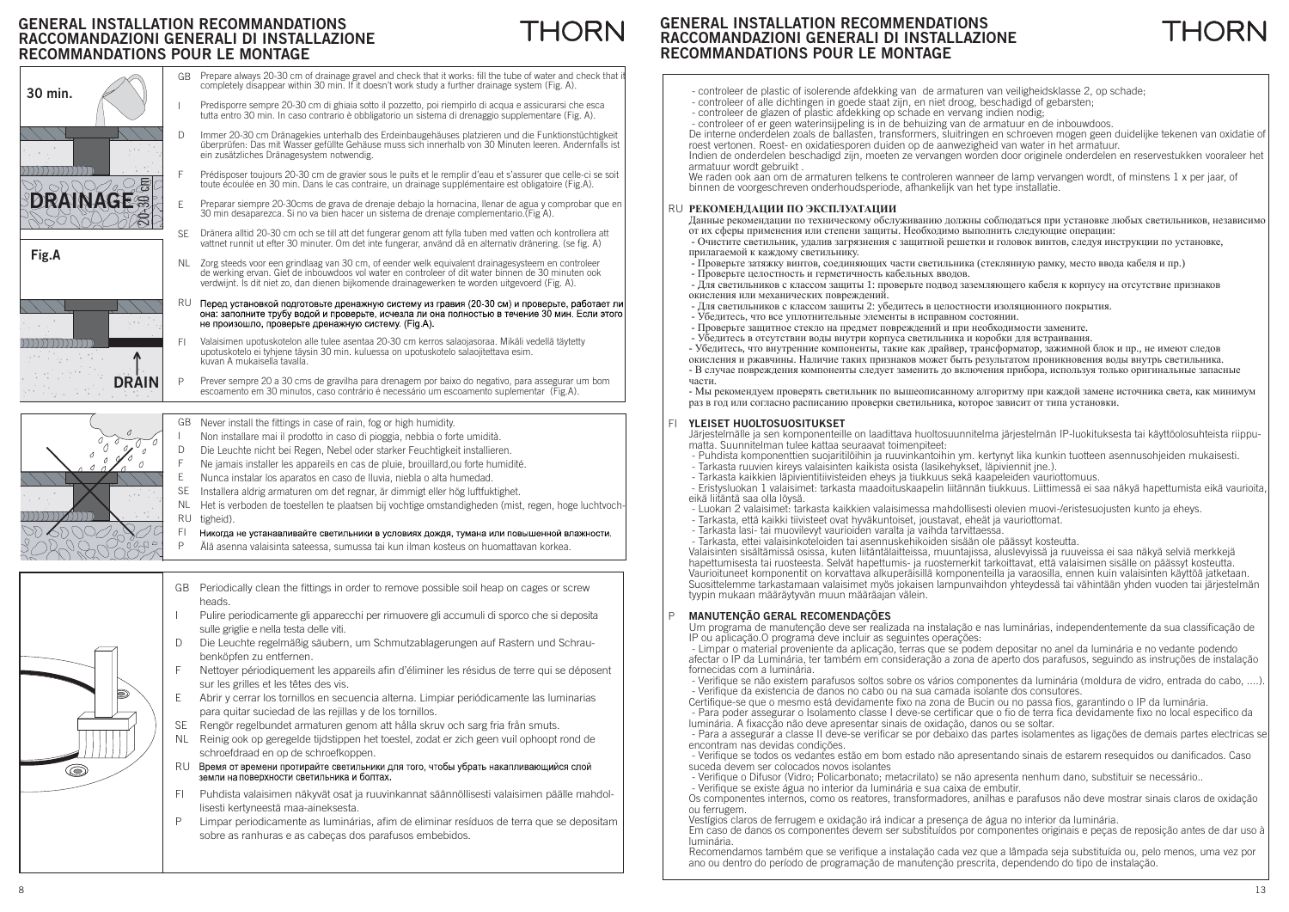# THORN



#### **GENERAL INSTALLATION RECOMMENDATIONS RACCOMANDAZIONI GENERALI DI INSTALLAZIONERECOMMANDATIONS POUR LE MONTAGE**



- controleer de plastic of isolerende afdekking van de armaturen van veiligheidsklasse 2, op schade;
- controleer of alle dichtingen in goede staat zijn, en niet droog, beschadigd of gebarsten;
- controleer de glazen of plastic afdekking op schade en vervang indien nodig;

 - controleer of er geen waterinsijpeling is in de behuizing van de armatuur en de inbouwdoos. De interne onderdelen zoals de ballasten, transformers, sluitringen en schroeven mogen geen duidelijke tekenen van oxidatie of roest vertonen. Roest- en oxidatiesporen duiden op de aanwezigheid van water in het armatuur.

Indien de onderdelen beschadigd zijn, moeten ze vervangen worden door originele onderdelen en reservestukken vooraleer het armatuur wordt gebruikt .

We raden ook aan om de armaturen telkens te controleren wanneer de lamp vervangen wordt, of minstens 1 x per jaar, of binnen de voorgeschreven onderhoudsperiode, afhankelijk van het type installatie.

#### RU РЕКОМЕНДАЦИИ ПО ЭКСПЛУАТАЦИИ

Данные рекомендации по техническому обслуживанию должны соблюдаться при установке любых светильников, независимо от их сферы применения или степени защиты. Необходимо выполнить следующие операции:

- Очистите светильник, удалив загрязнения с защитной решетки и головок винтов, следуя инструкции по установке, прилагаемой к кажлому светильнику.
- Проверьте затяжку винтов, соединяющих части светильника (стеклянную рамку, место ввода кабеля и пр.)
- Проверьте целостность и герметичность кабельных вводов.

- Для светильников с классом защиты 1: проверьте подвод заземляющего кабеля к корпусу на отсутствие признаков окисления или механических повреждений.

- Для светильников с классом защиты 2: убедитесь в целостности изоляционного покрытия.
- Убедитесь, что все уплотнительные элементы в исправном состоянии.
- Проверьте защитное стекло на предмет повреждений и при необходимости замените.
- Убедитесь в отсутствии воды внутри корпуса светильника и коробки для встраивания.

- Убедитесь, что внутренние компоненты, такие как драйвер, трансформатор, зажимной блок и пр., не имеют следов окисления и ржавчины. Наличие таких признаков может быть результатом проникновения воды внутрь светильника.

- В случае повреждения компоненты следует заменить до включения прибора, используя только оригинальные запасные части<sup>.</sup>

- мы рекомендуем проверять светильник по вышеописанному алгоритму при каждой замене источника света, как минимум раз в год или согласно расписанию проверки светильника, которое зависит от типа установки.

#### **YLEISET HUOLTOSUOSITUKSET**FI

 Järjestelmälle ja sen komponenteille on laadittava huoltosuunnitelma järjestelmän IP-luokituksesta tai käyttöolosuhteista riippumatta. Suunnitelman tulee kattaa seuraavat toimenpiteet:

- Puhdista komponenttien suojaritilöihin ja ruuvinkantoihin ym. kertynyt lika kunkin tuotteen asennusohjeiden mukaisesti.
- Tarkasta ruuvien kireys valaisinten kaikista osista (lasikehykset, läpiviennit jne.).
- Tarkasta kaikkien läpivientitiivisteiden eheys ja tiukkuus sekä kaapeleiden vauriottomuus.
- Eristysluokan 1 valaisimet: tarkasta maadoituskaapelin liitännän tiukkuus. Liittimessä ei saa näkyä hapettumista eikä vaurioita, eikä liitäntä saa olla löysä.
- Luokan 2 valaisimet: tarkasta kaikkien valaisimessa mahdollisesti olevien muovi-/eristesuojusten kunto ja eheys.
- Tarkasta, että kaikki tiivisteet ovat hyväkuntoiset, joustavat, eheät ja vauriottomat.
- Tarkasta lasi- tai muovilevyt vaurioiden varalta ja vaihda tarvittaessa.

- Tarkasta, ettei valaisinkoteloiden tai asennuskehikoiden sisään ole päässyt kosteutta.

Valaisinten sisältämissä osissa, kuten liitäntälaitteissa, muuntajissa, aluslevyissä ja ruuveissa ei saa näkyä selviä merkkejä hapettumisesta tai ruosteesta. Selvät hapettumis- ja ruostemerkit tarkoittavat, että valaisimen sisälle on päässyt kosteutta. Vaurioituneet komponentit on korvattava alkuperäisillä komponenteilla ja varaosilla, ennen kuin valaisinten käyttöä jatketaan. Suosittelemme tarkastamaan valaisimet myös jokaisen lampunvaihdon yhteydessä tai vähintään yhden vuoden tai järjestelmän tyypin mukaan määräytyvän muun määräajan välein.

#### **MANUTENÇÃO GERAL RECOMENDAÇÕES** P

Um programa de manutenção deve ser realizada na instalação e nas luminárias, independentemente da sua classificação de IP ou aplicação.O programa deve incluir as seguintes operações:

 - Limpar o material proveniente da aplicação, terras que se podem depositar no anel da luminária e no vedante podendo afectar o IP da Luminária, ter também em consideração a zona de aperto dos parafusos, seguindo as instruções de instalação fornecidas com a luminária.

- Verifique se não existem parafusos soltos sobre os vários componentes da luminária (moldura de vidro, entrada do cabo, ....). - Verifique da existencia de danos no cabo ou na sua camada isolante dos consutores.

Certifique-se que o mesmo está devidamente fixo na zona de Bucin ou no passa fios, garantindo o IP da luminária. - Para poder assegurar o Isolamento classe I deve-se certificar que o fio de terra fica devidamente fixo no local especifico da

luminária. A fixacção não deve apresentar sinais de oxidação, danos ou se soltar.

- Para a assegurar a classe II deve-se verificar se por debaixo das partes isolamentes as ligações de demais partes electricas se encontram nas devidas condições.

- Verifique se todos os vedantes estão em bom estado não apresentando sinais de estarem resequidos ou danificados. Caso suceda devem ser colocados novos isolantes

- Verifique o Difusor (Vidro; Policarbonato; metacrilato) se não apresenta nenhum dano, substituir se necessário..

- Verifique se existe água no interior da luminária e sua caixa de embutir.

Os componentes internos, como os reatores, transformadores, anilhas e parafusos não deve mostrar sinais claros de oxidação ou ferrugem.

Vestígios claros de ferrugem e oxidação irá indicar a presença de água no interior da luminária.

Em caso de danos os componentes devem ser substituídos por componentes originais e peças de reposição antes de dar uso à luminária.

Recomendamos também que se verifique a instalação cada vez que a lâmpada seja substituída ou, pelo menos, uma vez por ano ou dentro do período de programação de manutenção prescrita, dependendo do tipo de instalação.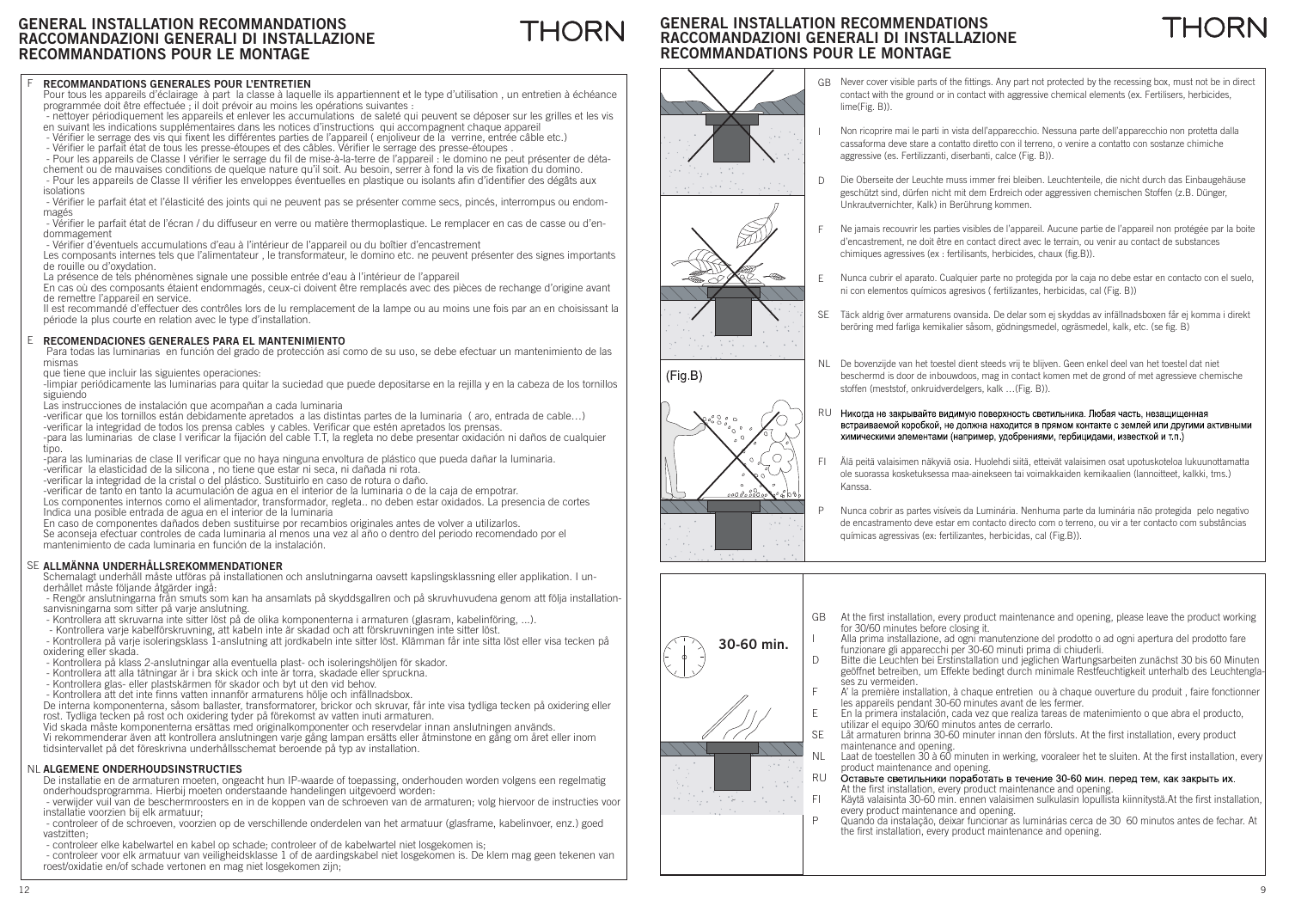#### F**RECOMMANDATIONS GENERALES POUR L'ENTRETIEN**

 Pour tous les appareils d'éclairage à part la classe à laquelle ils appartiennent et le type d'utilisation , un entretien à échéance programmée doit être effectuée ; il doit prévoir au moins les opérations suivantes :

 - nettoyer périodiquement les appareils et enlever les accumulations de saleté qui peuvent se déposer sur les grilles et les vis en suivant les indications supplémentaires dans les notices d'instructions qui accompagnent chaque appareil

- Vérifier le serrage des vis qui fixent les différentes parties de l'appareil ( enjoliveur de la verrine, entrée câble etc.)
- Vérifier le parfait état de tous les presse-étoupes et des câbles. Vérifier le serrage des presse-étoupes.

- Pour les appareils de Classe I vérifier le serrage du fil de mise-à-la-terre de l'appareil : le domino ne peut présenter de déta-

chement ou de mauvaises conditions de quelque nature qu'il soit. Au besoin, serrer à fond la vis de fixation du domino. - Pour les appareils de Classe II vérifier les enveloppes éventuelles en plastique ou isolants afin d'identifier des dégâts aux isolations

- Vérifier le parfait état et l'élasticité des joints qui ne peuvent pas se présenter comme secs, pincés, interrompus ou endommagés

- Vérifier le parfait état de l'écran / du diffuseur en verre ou matière thermoplastique. Le remplacer en cas de casse ou d'endommagement

- Vérifier d'éventuels accumulations d'eau à l'intérieur de l'appareil ou du boîtier d'encastrement

Les composants internes tels que l'alimentateur , le transformateur, le domino etc. ne peuvent présenter des signes importants de rouille ou d'oxydation.

La présence de tels phénomènes signale une possible entrée d'eau à l'intérieur de l'appareil

En cas où des composants étaient endommagés, ceux-ci doivent être remplacés avec des pièces de rechange d'origine avant de remettre l'appareil en service.

Il est recommandé d'effectuer des contrôles lors de lu remplacement de la lampe ou au moins une fois par an en choisissant la période la plus courte en relation avec le type d'installation.

#### E **RECOMENDACIONES GENERALES PARA EL MANTENIMIENTO**

 Para todas las luminarias en función del grado de protección así como de su uso, se debe efectuar un mantenimiento de las mismas

que tiene que incluir las siguientes operaciones:

-limpiar periódicamente las luminarias para quitar la suciedad que puede depositarse en la rejilla y en la cabeza de los tornillos siguiendo

Las instrucciones de instalación que acompañan a cada luminaria

-verificar que los tornillos están debidamente apretados a las distintas partes de la luminaria (aro, entrada de cable…) -verificar la integridad de todos los prensa cables y cables. Verificar que estén apretados los prensas.

-para las luminarias de clase I verificar la fijación del cable T.T, la regleta no debe presentar oxidación ni daños de cualquier tipo.

-para las luminarias de clase II verificar que no haya ninguna envoltura de plástico que pueda dañar la luminaria.

-verificar la elasticidad de la silicona, no tiene que estar ni seca, ni dañada ni rota.

-verificar la integridad de la cristal o del plástico. Sustituirlo en caso de rotura o daño.<br>-verificar de tanto en tanto la acumulación de agua en el interior de la luminaria o de la caja de empotrar.

Los componentes internos como el alimentador, transformador, regleta.. no deben estar oxidados. La presencia de cortes Indica una posible entrada de agua en el interior de la luminaria

En caso de componentes dañados deben sustituirse por recambios originales antes de volver a utilizarlos.

Se aconseja efectuar controles de cada luminaria al menos una vez al año o dentro del periodo recomendado por el mantenimiento de cada luminaria en función de la instalación.

#### SE **ALLMÄNNA UNDERHÅLLSREKOMMENDATIONER**

Schemalagt underhåll måste utföras på installationen och anslutningarna oavsett kapslingsklassning eller applikation. I underhållet måste följande åtgärder ingå:

 - Rengör anslutningarna från smuts som kan ha ansamlats på skyddsgallren och på skruvhuvudena genom att följa installationsanvisningarna som sitter på varje anslutning.

- Kontrollera att skruvarna inte sitter löst på de olika komponenterna i armaturen (glasram, kabelinföring, ...).
- Kontrollera varje kabelförskruvning, att kabeln inte är skadad och att förskruvningen inte sitter löst.

 - Kontrollera på varje isoleringsklass 1-anslutning att jordkabeln inte sitter löst. Klämman får inte sitta löst eller visa tecken på oxidering eller skada.

- Kontrollera på klass 2-anslutningar alla eventuella plast- och isoleringshöljen för skador.
- Kontrollera att alla tätningar är i bra skick och inte är torra, skadade eller spruckna.
- Kontrollera glas- eller plastskärmen för skador och byt ut den vid behov.
- Kontrollera att det inte finns vatten innanför armaturens hölje och infällnadsbox.

De interna komponenterna, såsom ballaster, transformatorer, brickor och skruvar, får inte visa tydliga tecken på oxidering eller rost. Tydliga tecken på rost och oxidering tyder på förekomst av vatten inuti armaturen.

Vid skada måste komponenterna ersättas med originalkomponenter och reservdelar innan anslutningen används. Vi rekommenderar även att kontrollera anslutningen varje gång lampan ersätts eller åtminstone en gång om året eller inom tidsintervallet på det föreskrivna underhållsschemat beroende på typ av installation.

#### NL **ALGEMENE ONDERHOUDSINSTRUCTIES**

 De installatie en de armaturen moeten, ongeacht hun IP-waarde of toepassing, onderhouden worden volgens een regelmatig onderhoudsprogramma. Hierbij moeten onderstaande handelingen uitgevoerd worden:

 - verwijder vuil van de beschermroosters en in de koppen van de schroeven van de armaturen; volg hiervoor de instructies voor installatie voorzien bij elk armatuur;

 - controleer of de schroeven, voorzien op de verschillende onderdelen van het armatuur (glasframe, kabelinvoer, enz.) goed vastzitten;

- controleer elke kabelwartel en kabel op schade; controleer of de kabelwartel niet losgekomen is;

 - controleer voor elk armatuur van veiligheidsklasse 1 of de aardingskabel niet losgekomen is. De klem mag geen tekenen van roest/oxidatie en/of schade vertonen en mag niet losgekomen zijn;

#### **GENERAL INSTALLATION RECOMMENDATIONS RACCOMANDAZIONI GENERALI DI INSTALLAZIONERECOMMANDATIONS POUR LE MONTAGE**



THORN

- GBNever cover visible parts of the fittings. Any part not protected by the recessing box, must not be in direct contact with the ground or in contact with aggressive chemical elements (ex. Fertilisers, herbicides, lime(Fig. B)).
- Non ricoprire mai le parti in vista dell'apparecchio. Nessuna parte dell'apparecchio non protetta dalla cassaforma deve stare a contatto diretto con il terreno, o venire a contatto con sostanze chimiche aggressive (es. Fertilizzanti, diserbanti, calce (Fig. B)).
- Die Oberseite der Leuchte muss immer frei bleiben. Leuchtenteile, die nicht durch das Einbaugehäuse geschützt sind, dürfen nicht mit dem Erdreich oder aggressiven chemischen Stoffen (z.B. Dünger, Unkrautvernichter, Kalk) in Berührung kommen.
- F Ne jamais recouvrir les parties visibles de l'appareil. Aucune partie de l'appareil non protégée par la boite d'encastrement, ne doit être en contact direct avec le terrain, ou venir au contact de substances chimiques agressives (ex : fertilisants, herbicides, chaux (fig.B)).
- Nunca cubrir el aparato. Cualquier parte no protegida por la caja no debe estar en contacto con el suelo, ni con elementos químicos agresivos ( fertilizantes, herbicidas, cal (Fig. B))
- SE Täck aldrig över armaturens ovansida. De delar som ej skyddas av infällnadsboxen får ej komma i direkt beröring med farliga kemikalier såsom, gödningsmedel, ogräsmedel, kalk, etc. (se fig. B)
- NLDe bovenzijde van het toestel dient steeds vrij te blijven. Geen enkel deel van het toestel dat niet beschermd is door de inbouwdoos, mag in contact komen met de grond of met agressieve chemische stoffen (meststof, onkruidverdelgers, kalk …(Fig. B)).
- Никогла не закрывайте вилимую поверхность светильника. Любая часть, незащищенная RUвстраиваемой коробкой, не должна находится в прямом контакте с землей или другими активными химическими элементами (например, удобрениями, гербицидами, известкой и тп.)
- Älä peitä valaisimen näkyviä osia. Huolehdi siitä, etteivät valaisimen osat upotuskoteloa lukuunottamatta ole suorassa kosketuksessa maa-ainekseen tai voimakkaiden kemikaalien (lannoitteet, kalkki, tms.) Kanssa.
- Nunca cobrir as partes visíveis da Luminária. Nenhuma parte da luminária não protegida pelo negativo de encastramento deve estar em contacto directo com o terreno, ou vir a ter contacto com substâncias químicas agressivas (ex: fertilizantes, herbicidas, cal (Fig.B)).



- At the first installation, every product maintenance and opening, please leave the product working for 30/60 minutes before closing it.
- Alla prima installazione, ad ogni manutenzione del prodotto o ad ogni apertura del prodotto fare funzionare gli apparecchi per 30-60 minuti prima di chiuderli.
- Bitte die Leuchten bei Erstinstallation und jeglichen Wartungsarbeiten zunächst 30 bis 60 Minuten geöffnet betreiben, um Effekte bedingt durch minimale Restfeuchtigkeit unterhalb des Leuchtenglases zu vermeiden.
- A' la première installation, à chaque entretien ou à chaque ouverture du produit , faire fonctionner les appareils pendant 30-60 minutes avant de les fermer.
- En la primera instalación, cada vez que realiza tareas de matenimiento o que abra el producto, utilizar el equipo 30/60 minutos antes de cerrarlo.
- Låt armaturen brinna 30-60 minuter innan den försluts. At the first installation, every product maintenance and opening.
- Laat de toestellen  $30$  à 60 minuten in werking, vooraleer het te sluiten. At the first installation, every product maintenance and opening.<br>Оставьте светильники поработать в течение 30-60 мин. перед тем, как закрыть их.
- At the first installation, every product maintenance and opening.
- Käytä valaisinta 30-60 min. ennen valaisimen sulkulasin lopullista kiinnitystä. At the first installation, every product maintenance and opening.
- Quando da instalação, deixar funcionar as luminárias cerca de 30 60 minutos antes de fechar. At the first installation, every product maintenance and opening.

12